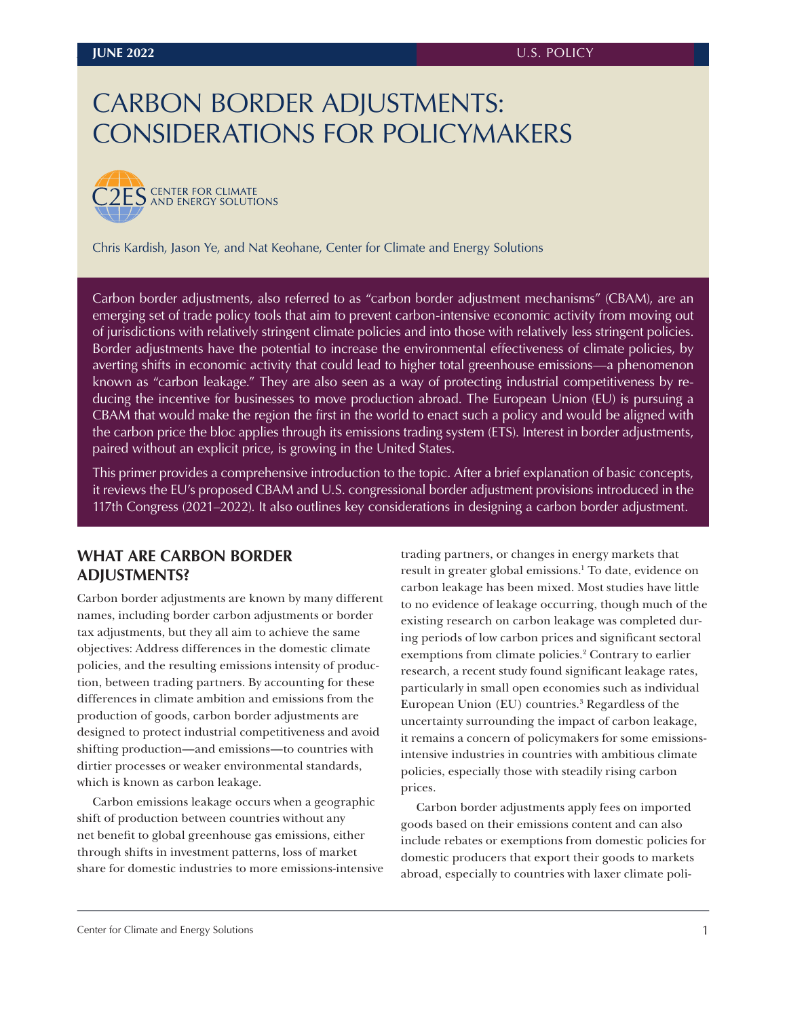# <span id="page-0-0"></span>CARBON BORDER ADJUSTMENTS: CONSIDERATIONS FOR POLICYMAKERS



Chris Kardish, Jason Ye, and Nat Keohane, Center for Climate and Energy Solutions

Carbon border adjustments, also referred to as "carbon border adjustment mechanisms" (CBAM), are an emerging set of trade policy tools that aim to prevent carbon-intensive economic activity from moving out of jurisdictions with relatively stringent climate policies and into those with relatively less stringent policies. Border adjustments have the potential to increase the environmental effectiveness of climate policies, by averting shifts in economic activity that could lead to higher total greenhouse emissions—a phenomenon known as "carbon leakage." They are also seen as a way of protecting industrial competitiveness by reducing the incentive for businesses to move production abroad. The European Union (EU) is pursuing a CBAM that would make the region the first in the world to enact such a policy and would be aligned with the carbon price the bloc applies through its emissions trading system (ETS). Interest in border adjustments, paired without an explicit price, is growing in the United States.

This primer provides a comprehensive introduction to the topic. After a brief explanation of basic concepts, it reviews the EU's proposed CBAM and U.S. congressional border adjustment provisions introduced in the 117th Congress (2021–2022). It also outlines key considerations in designing a carbon border adjustment.

# **WHAT ARE CARBON BORDER ADJUSTMENTS?**

Carbon border adjustments are known by many different names, including border carbon adjustments or border tax adjustments, but they all aim to achieve the same objectives: Address differences in the domestic climate policies, and the resulting emissions intensity of production, between trading partners. By accounting for these differences in climate ambition and emissions from the production of goods, carbon border adjustments are designed to protect industrial competitiveness and avoid shifting production—and emissions—to countries with dirtier processes or weaker environmental standards, which is known as carbon leakage.

Carbon emissions leakage occurs when a geographic shift of production between countries without any net benefit to global greenhouse gas emissions, either through shifts in investment patterns, loss of market share for domestic industries to more emissions-intensive trading partners, or changes in energy markets that result in greater global emissions[.1](#page-12-0) To date, evidence on carbon leakage has been mixed. Most studies have little to no evidence of leakage occurring, though much of the existing research on carbon leakage was completed during periods of low carbon prices and significant sectoral exemptions from climate policies.<sup>[2](#page-12-0)</sup> Contrary to earlier research, a recent study found significant leakage rates, particularly in small open economies such as individual European Union (EU) countries.[3](#page-12-0) Regardless of the uncertainty surrounding the impact of carbon leakage, it remains a concern of policymakers for some emissionsintensive industries in countries with ambitious climate policies, especially those with steadily rising carbon prices.

Carbon border adjustments apply fees on imported goods based on their emissions content and can also include rebates or exemptions from domestic policies for domestic producers that export their goods to markets abroad, especially to countries with laxer climate poli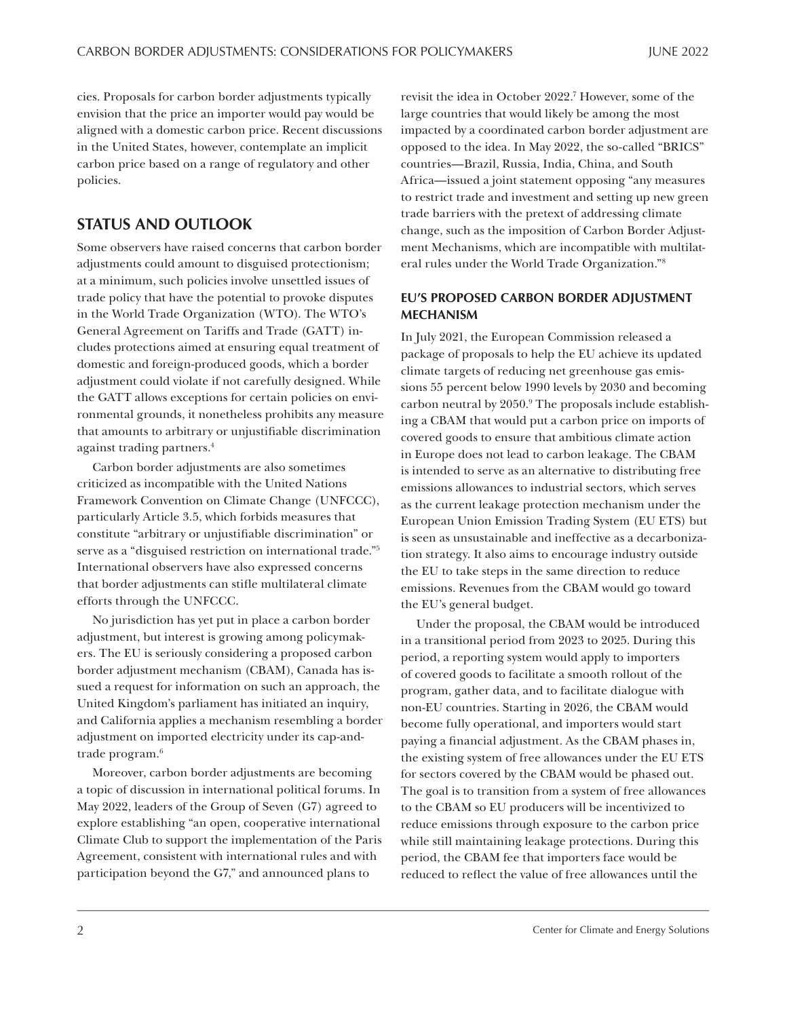<span id="page-1-0"></span>cies. Proposals for carbon border adjustments typically envision that the price an importer would pay would be aligned with a domestic carbon price. Recent discussions in the United States, however, contemplate an implicit carbon price based on a range of regulatory and other policies.

# **STATUS AND OUTLOOK**

Some observers have raised concerns that carbon border adjustments could amount to disguised protectionism; at a minimum, such policies involve unsettled issues of trade policy that have the potential to provoke disputes in the World Trade Organization (WTO). The WTO's General Agreement on Tariffs and Trade (GATT) includes protections aimed at ensuring equal treatment of domestic and foreign-produced goods, which a border adjustment could violate if not carefully designed. While the GATT allows exceptions for certain policies on environmental grounds, it nonetheless prohibits any measure that amounts to arbitrary or unjustifiable discrimination against trading partners[.4](#page-12-0)

Carbon border adjustments are also sometimes criticized as incompatible with the United Nations Framework Convention on Climate Change (UNFCCC), particularly Article 3.5, which forbids measures that constitute "arbitrary or unjustifiable discrimination" or serve as a "disguised restriction on international trade."[5](#page-12-0) International observers have also expressed concerns that border adjustments can stifle multilateral climate efforts through the UNFCCC.

No jurisdiction has yet put in place a carbon border adjustment, but interest is growing among policymakers. The EU is seriously considering a proposed carbon border adjustment mechanism (CBAM), Canada has issued a request for information on such an approach, the United Kingdom's parliament has initiated an inquiry, and California applies a mechanism resembling a border adjustment on imported electricity under its cap-andtrade program[.6](#page-12-0)

Moreover, carbon border adjustments are becoming a topic of discussion in international political forums. In May 2022, leaders of the Group of Seven (G7) agreed to explore establishing "an open, cooperative international Climate Club to support the implementation of the Paris Agreement, consistent with international rules and with participation beyond the G7," and announced plans to

revisit the idea in October 2022[.7](#page-12-0) However, some of the large countries that would likely be among the most impacted by a coordinated carbon border adjustment are opposed to the idea. In May 2022, the so-called "BRICS" countries—Brazil, Russia, India, China, and South Africa—issued a joint statement opposing "any measures to restrict trade and investment and setting up new green trade barriers with the pretext of addressing climate change, such as the imposition of Carbon Border Adjustment Mechanisms, which are incompatible with multilateral rules under the World Trade Organization.["8](#page-12-0)

## **EU'S PROPOSED CARBON BORDER ADJUSTMENT MECHANISM**

In July 2021, the European Commission released a package of proposals to help the EU achieve its updated climate targets of reducing net greenhouse gas emissions 55 percent below 1990 levels by 2030 and becoming carbon neutral by 2050.<sup>9</sup> The proposals include establishing a CBAM that would put a carbon price on imports of covered goods to ensure that ambitious climate action in Europe does not lead to carbon leakage. The CBAM is intended to serve as an alternative to distributing free emissions allowances to industrial sectors, which serves as the current leakage protection mechanism under the European Union Emission Trading System (EU ETS) but is seen as unsustainable and ineffective as a decarbonization strategy. It also aims to encourage industry outside the EU to take steps in the same direction to reduce emissions. Revenues from the CBAM would go toward the EU's general budget.

Under the proposal, the CBAM would be introduced in a transitional period from 2023 to 2025. During this period, a reporting system would apply to importers of covered goods to facilitate a smooth rollout of the program, gather data, and to facilitate dialogue with non-EU countries. Starting in 2026, the CBAM would become fully operational, and importers would start paying a financial adjustment. As the CBAM phases in, the existing system of free allowances under the EU ETS for sectors covered by the CBAM would be phased out. The goal is to transition from a system of free allowances to the CBAM so EU producers will be incentivized to reduce emissions through exposure to the carbon price while still maintaining leakage protections. During this period, the CBAM fee that importers face would be reduced to reflect the value of free allowances until the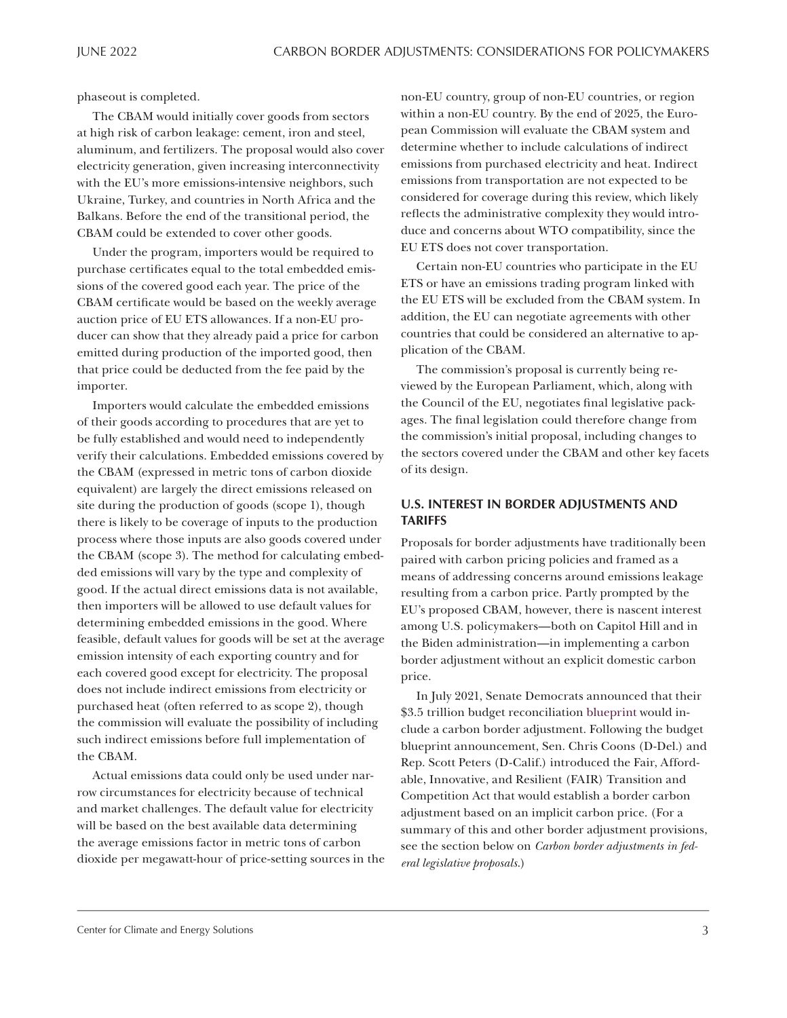phaseout is completed.

The CBAM would initially cover goods from sectors at high risk of carbon leakage: cement, iron and steel, aluminum, and fertilizers. The proposal would also cover electricity generation, given increasing interconnectivity with the EU's more emissions-intensive neighbors, such Ukraine, Turkey, and countries in North Africa and the Balkans. Before the end of the transitional period, the CBAM could be extended to cover other goods.

Under the program, importers would be required to purchase certificates equal to the total embedded emissions of the covered good each year. The price of the CBAM certificate would be based on the weekly average auction price of EU ETS allowances. If a non-EU producer can show that they already paid a price for carbon emitted during production of the imported good, then that price could be deducted from the fee paid by the importer.

Importers would calculate the embedded emissions of their goods according to procedures that are yet to be fully established and would need to independently verify their calculations. Embedded emissions covered by the CBAM (expressed in metric tons of carbon dioxide equivalent) are largely the direct emissions released on site during the production of goods (scope 1), though there is likely to be coverage of inputs to the production process where those inputs are also goods covered under the CBAM (scope 3). The method for calculating embedded emissions will vary by the type and complexity of good. If the actual direct emissions data is not available, then importers will be allowed to use default values for determining embedded emissions in the good. Where feasible, default values for goods will be set at the average emission intensity of each exporting country and for each covered good except for electricity. The proposal does not include indirect emissions from electricity or purchased heat (often referred to as scope 2), though the commission will evaluate the possibility of including such indirect emissions before full implementation of the CBAM.

Actual emissions data could only be used under narrow circumstances for electricity because of technical and market challenges. The default value for electricity will be based on the best available data determining the average emissions factor in metric tons of carbon dioxide per megawatt-hour of price-setting sources in the non-EU country, group of non-EU countries, or region within a non-EU country. By the end of 2025, the European Commission will evaluate the CBAM system and determine whether to include calculations of indirect emissions from purchased electricity and heat. Indirect emissions from transportation are not expected to be considered for coverage during this review, which likely reflects the administrative complexity they would introduce and concerns about WTO compatibility, since the EU ETS does not cover transportation.

Certain non-EU countries who participate in the EU ETS or have an emissions trading program linked with the EU ETS will be excluded from the CBAM system. In addition, the EU can negotiate agreements with other countries that could be considered an alternative to application of the CBAM.

The commission's proposal is currently being reviewed by the European Parliament, which, along with the Council of the EU, negotiates final legislative packages. The final legislation could therefore change from the commission's initial proposal, including changes to the sectors covered under the CBAM and other key facets of its design.

# **U.S. INTEREST IN BORDER ADJUSTMENTS AND TARIFFS**

Proposals for border adjustments have traditionally been paired with carbon pricing policies and framed as a means of addressing concerns around emissions leakage resulting from a carbon price. Partly prompted by the EU's proposed CBAM, however, there is nascent interest among U.S. policymakers—both on Capitol Hill and in the Biden administration—in implementing a carbon border adjustment without an explicit domestic carbon price.

In July 2021, Senate Democrats announced that their \$3.5 trillion budget reconciliation [blueprint](https://www.budget.senate.gov/imo/media/doc/CPRT-117SPRT45298.pdf) would include a carbon border adjustment. Following the budget blueprint announcement, Sen. Chris Coons (D-Del.) and Rep. Scott Peters (D-Calif.) introduced the Fair, Affordable, Innovative, and Resilient (FAIR) Transition and Competition Act that would establish a border carbon adjustment based on an implicit carbon price. (For a summary of this and other border adjustment provisions, see the section below on *Carbon border adjustments in federal legislative proposals*.)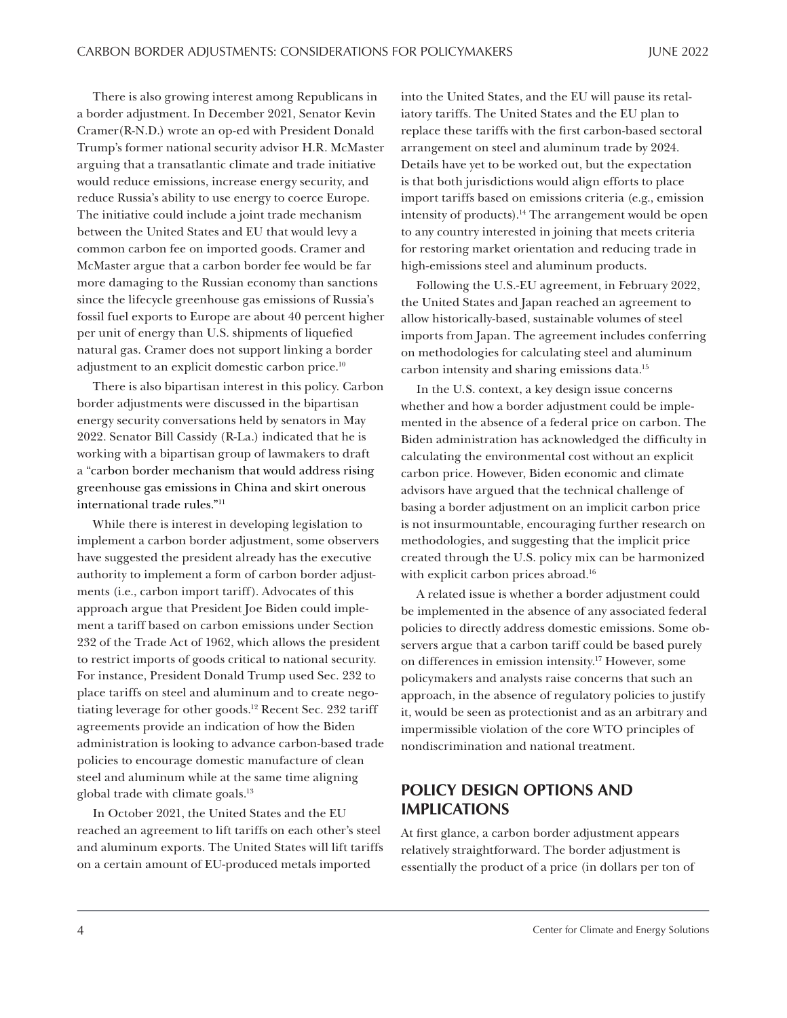<span id="page-3-0"></span>There is also growing interest among Republicans in a border adjustment. In December 2021, Senator Kevin Cramer(R-N.D.) wrote an op-ed with President Donald Trump's former national security advisor H.R. McMaster arguing that a transatlantic climate and trade initiative would reduce emissions, increase energy security, and reduce Russia's ability to use energy to coerce Europe. The initiative could include a joint trade mechanism between the United States and EU that would levy a common carbon fee on imported goods. Cramer and McMaster argue that a carbon border fee would be far more damaging to the Russian economy than sanctions since the lifecycle greenhouse gas emissions of Russia's fossil fuel exports to Europe are about 40 percent higher per unit of energy than U.S. shipments of liquefied natural gas. Cramer does not support linking a border adjustment to an explicit domestic carbon price[.10](#page-12-0)

There is also bipartisan interest in this policy. Carbon border adjustments were discussed in the bipartisan energy security conversations held by senators in May 2022. Senator Bill Cassidy (R-La.) indicated that he is working with a bipartisan group of lawmakers to draft a "carbon border mechanism that would address rising greenhouse gas emissions in China and skirt onerous international trade rules."[11](#page-12-0)

While there is interest in developing legislation to implement a carbon border adjustment, some observers have suggested the president already has the executive authority to implement a form of carbon border adjustments (i.e., carbon import tariff). Advocates of this approach argue that President Joe Biden could implement a tariff based on carbon emissions under Section 232 of the Trade Act of 1962, which allows the president to restrict imports of goods critical to national security. For instance, President Donald Trump used Sec. 232 to place tariffs on steel and aluminum and to create negotiating leverage for other goods.<sup>12</sup> Recent Sec. 232 tariff agreements provide an indication of how the Biden administration is looking to advance carbon-based trade policies to encourage domestic manufacture of clean steel and aluminum while at the same time aligning global trade with climate goals.<sup>[13](#page-12-0)</sup>

In October 2021, the United States and the EU reached an agreement to lift tariffs on each other's steel and aluminum exports. The United States will lift tariffs on a certain amount of EU-produced metals imported

into the United States, and the EU will pause its retaliatory tariffs. The United States and the EU plan to replace these tariffs with the first carbon-based sectoral arrangement on steel and aluminum trade by 2024. Details have yet to be worked out, but the expectation is that both jurisdictions would align efforts to place import tariffs based on emissions criteria (e.g., emission intensity of products).<sup>14</sup> The arrangement would be open to any country interested in joining that meets criteria for restoring market orientation and reducing trade in high-emissions steel and aluminum products.

Following the U.S.-EU agreement, in February 2022, the United States and Japan reached an agreement to allow historically-based, sustainable volumes of steel imports from Japan. The agreement includes conferring on methodologies for calculating steel and aluminum carbon intensity and sharing emissions data[.15](#page-13-0)

In the U.S. context, a key design issue concerns whether and how a border adjustment could be implemented in the absence of a federal price on carbon. The Biden administration has acknowledged the difficulty in calculating the environmental cost without an explicit carbon price. However, Biden economic and climate advisors have argued that the technical challenge of basing a border adjustment on an implicit carbon price is not insurmountable, encouraging further research on methodologies, and suggesting that the implicit price created through the U.S. policy mix can be harmonized with explicit carbon prices abroad.<sup>16</sup>

A related issue is whether a border adjustment could be implemented in the absence of any associated federal policies to directly address domestic emissions. Some observers argue that a carbon tariff could be based purely on differences in emission intensity[.17](#page-13-0) However, some policymakers and analysts raise concerns that such an approach, in the absence of regulatory policies to justify it, would be seen as protectionist and as an arbitrary and impermissible violation of the core WTO principles of nondiscrimination and national treatment.

# **POLICY DESIGN OPTIONS AND IMPLICATIONS**

At first glance, a carbon border adjustment appears relatively straightforward. The border adjustment is essentially the product of a price (in dollars per ton of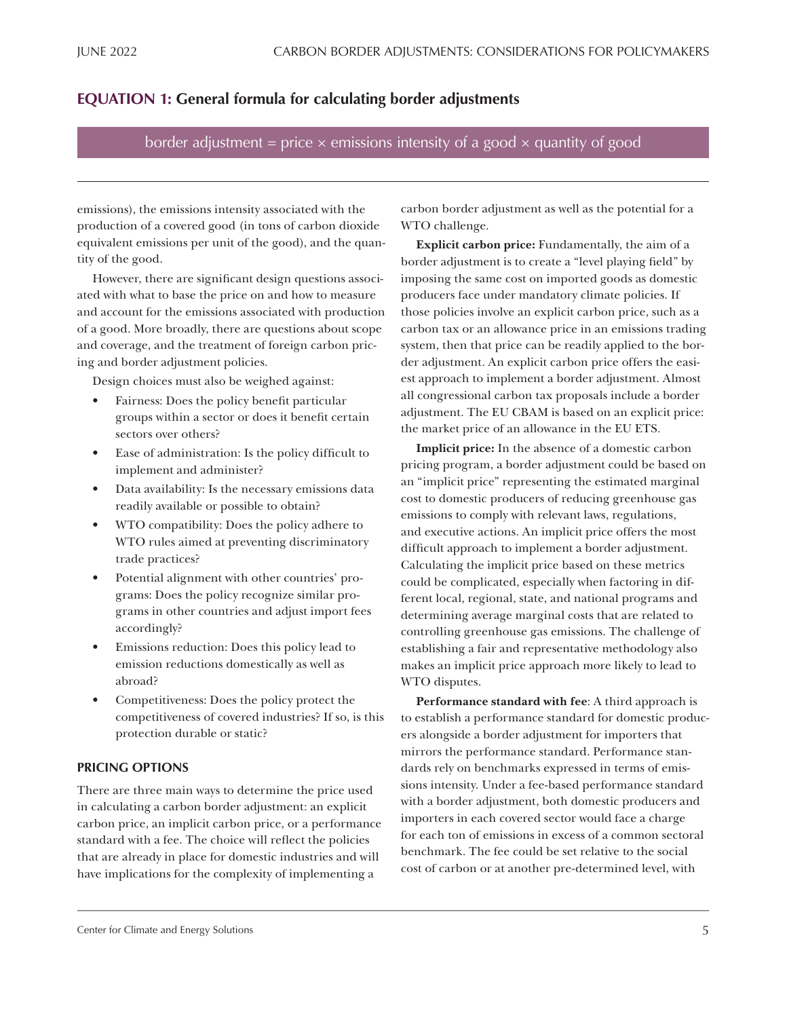# **EQUATION 1: General formula for calculating border adjustments**

border adjustment = price  $\times$  emissions intensity of a good  $\times$  quantity of good

emissions), the emissions intensity associated with the production of a covered good (in tons of carbon dioxide equivalent emissions per unit of the good), and the quantity of the good.

However, there are significant design questions associated with what to base the price on and how to measure and account for the emissions associated with production of a good. More broadly, there are questions about scope and coverage, and the treatment of foreign carbon pricing and border adjustment policies.

Design choices must also be weighed against:

- Fairness: Does the policy benefit particular groups within a sector or does it benefit certain sectors over others?
- Ease of administration: Is the policy difficult to implement and administer?
- Data availability: Is the necessary emissions data readily available or possible to obtain?
- WTO compatibility: Does the policy adhere to WTO rules aimed at preventing discriminatory trade practices?
- Potential alignment with other countries' programs: Does the policy recognize similar programs in other countries and adjust import fees accordingly?
- Emissions reduction: Does this policy lead to emission reductions domestically as well as abroad?
- Competitiveness: Does the policy protect the competitiveness of covered industries? If so, is this protection durable or static?

# **PRICING OPTIONS**

There are three main ways to determine the price used in calculating a carbon border adjustment: an explicit carbon price, an implicit carbon price, or a performance standard with a fee. The choice will reflect the policies that are already in place for domestic industries and will have implications for the complexity of implementing a

carbon border adjustment as well as the potential for a WTO challenge.

**Explicit carbon price:** Fundamentally, the aim of a border adjustment is to create a "level playing field" by imposing the same cost on imported goods as domestic producers face under mandatory climate policies. If those policies involve an explicit carbon price, such as a carbon tax or an allowance price in an emissions trading system, then that price can be readily applied to the border adjustment. An explicit carbon price offers the easiest approach to implement a border adjustment. Almost all congressional carbon tax proposals include a border adjustment. The EU CBAM is based on an explicit price: the market price of an allowance in the EU ETS.

**Implicit price:** In the absence of a domestic carbon pricing program, a border adjustment could be based on an "implicit price" representing the estimated marginal cost to domestic producers of reducing greenhouse gas emissions to comply with relevant laws, regulations, and executive actions. An implicit price offers the most difficult approach to implement a border adjustment. Calculating the implicit price based on these metrics could be complicated, especially when factoring in different local, regional, state, and national programs and determining average marginal costs that are related to controlling greenhouse gas emissions. The challenge of establishing a fair and representative methodology also makes an implicit price approach more likely to lead to WTO disputes.

**Performance standard with fee**: A third approach is to establish a performance standard for domestic producers alongside a border adjustment for importers that mirrors the performance standard. Performance standards rely on benchmarks expressed in terms of emissions intensity. Under a fee-based performance standard with a border adjustment, both domestic producers and importers in each covered sector would face a charge for each ton of emissions in excess of a common sectoral benchmark. The fee could be set relative to the social cost of carbon or at another pre-determined level, with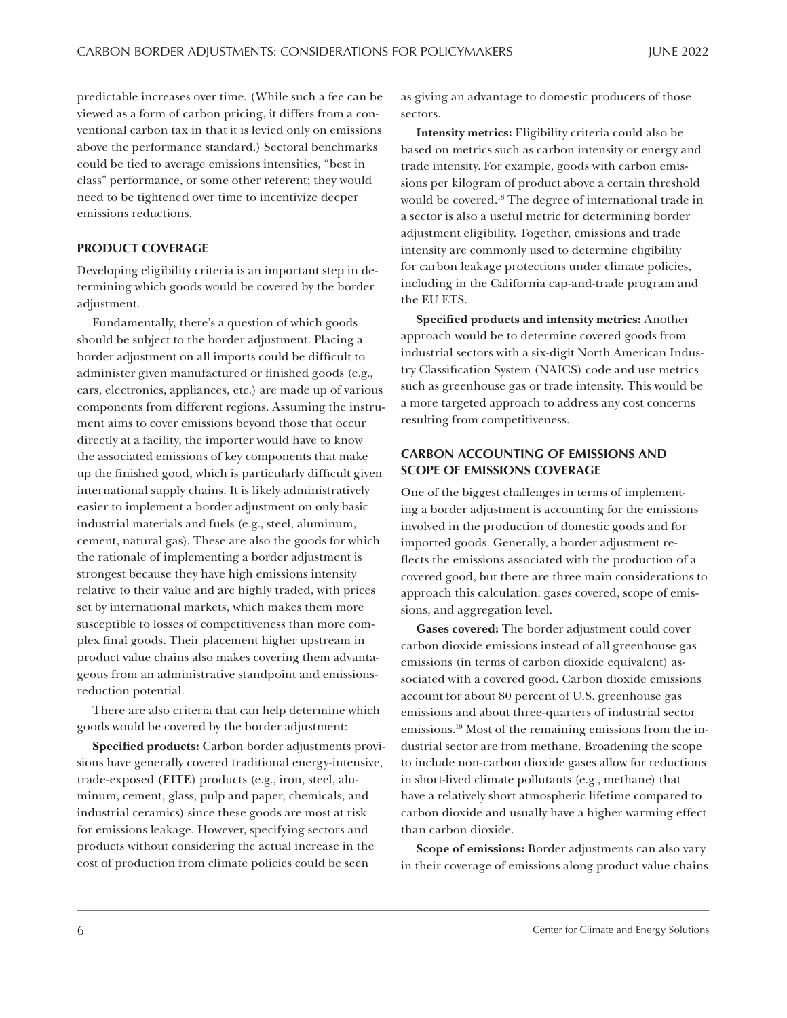<span id="page-5-0"></span>predictable increases over time. (While such a fee can be viewed as a form of carbon pricing, it differs from a conventional carbon tax in that it is levied only on emissions above the performance standard.) Sectoral benchmarks could be tied to average emissions intensities, "best in class" performance, or some other referent; they would need to be tightened over time to incentivize deeper emissions reductions.

## **PRODUCT COVERAGE**

Developing eligibility criteria is an important step in determining which goods would be covered by the border adjustment.

Fundamentally, there's a question of which goods should be subject to the border adjustment. Placing a border adjustment on all imports could be difficult to administer given manufactured or finished goods (e.g., cars, electronics, appliances, etc.) are made up of various components from different regions. Assuming the instrument aims to cover emissions beyond those that occur directly at a facility, the importer would have to know the associated emissions of key components that make up the finished good, which is particularly difficult given international supply chains. It is likely administratively easier to implement a border adjustment on only basic industrial materials and fuels (e.g., steel, aluminum, cement, natural gas). These are also the goods for which the rationale of implementing a border adjustment is strongest because they have high emissions intensity relative to their value and are highly traded, with prices set by international markets, which makes them more susceptible to losses of competitiveness than more complex final goods. Their placement higher upstream in product value chains also makes covering them advantageous from an administrative standpoint and emissionsreduction potential.

There are also criteria that can help determine which goods would be covered by the border adjustment:

**Specified products:** Carbon border adjustments provisions have generally covered traditional energy-intensive, trade-exposed (EITE) products (e.g., iron, steel, aluminum, cement, glass, pulp and paper, chemicals, and industrial ceramics) since these goods are most at risk for emissions leakage. However, specifying sectors and products without considering the actual increase in the cost of production from climate policies could be seen

as giving an advantage to domestic producers of those sectors.

**Intensity metrics:** Eligibility criteria could also be based on metrics such as carbon intensity or energy and trade intensity. For example, goods with carbon emissions per kilogram of product above a certain threshold would be covered[.18](#page-13-0) The degree of international trade in a sector is also a useful metric for determining border adjustment eligibility. Together, emissions and trade intensity are commonly used to determine eligibility for carbon leakage protections under climate policies, including in the California cap-and-trade program and the EU ETS.

**Specified products and intensity metrics:** Another approach would be to determine covered goods from industrial sectors with a six-digit North American Industry Classification System (NAICS) code and use metrics such as greenhouse gas or trade intensity. This would be a more targeted approach to address any cost concerns resulting from competitiveness.

# **CARBON ACCOUNTING OF EMISSIONS AND SCOPE OF EMISSIONS COVERAGE**

One of the biggest challenges in terms of implementing a border adjustment is accounting for the emissions involved in the production of domestic goods and for imported goods. Generally, a border adjustment reflects the emissions associated with the production of a covered good, but there are three main considerations to approach this calculation: gases covered, scope of emissions, and aggregation level.

**Gases covered:** The border adjustment could cover carbon dioxide emissions instead of all greenhouse gas emissions (in terms of carbon dioxide equivalent) associated with a covered good. Carbon dioxide emissions account for about 80 percent of U.S. greenhouse gas emissions and about three-quarters of industrial sector emissions[.19](#page-13-0) Most of the remaining emissions from the industrial sector are from methane. Broadening the scope to include non-carbon dioxide gases allow for reductions in short-lived climate pollutants (e.g., methane) that have a relatively short atmospheric lifetime compared to carbon dioxide and usually have a higher warming effect than carbon dioxide.

**Scope of emissions:** Border adjustments can also vary in their coverage of emissions along product value chains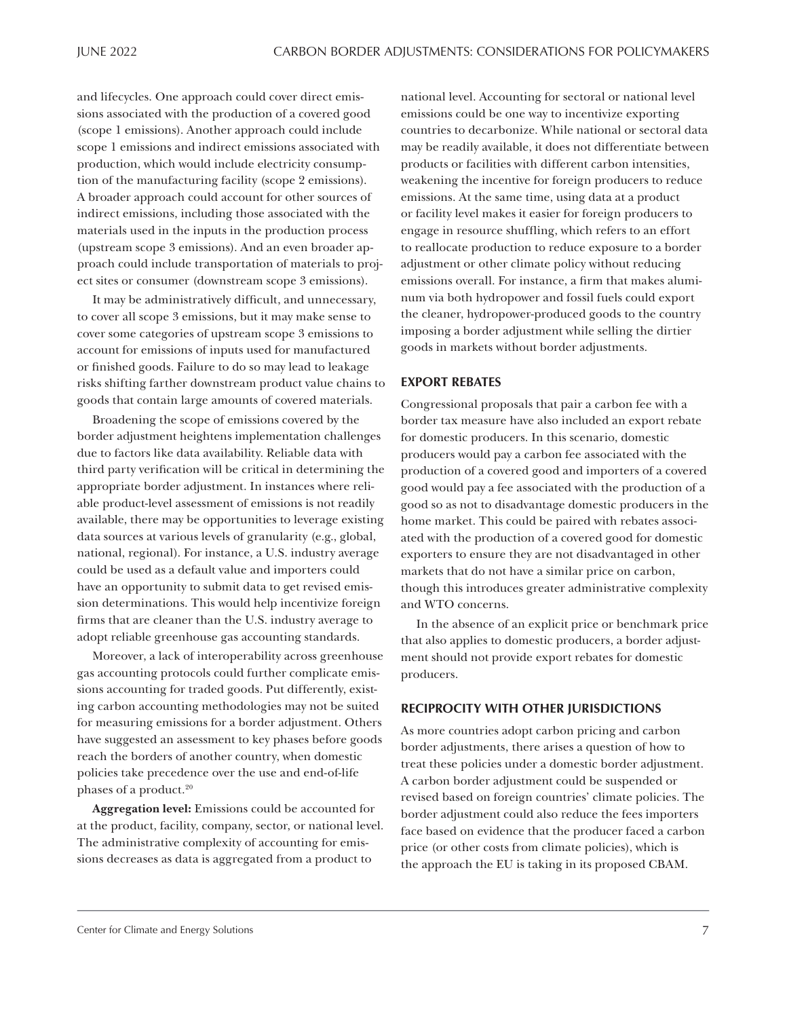<span id="page-6-0"></span>and lifecycles. One approach could cover direct emissions associated with the production of a covered good (scope 1 emissions). Another approach could include scope 1 emissions and indirect emissions associated with production, which would include electricity consumption of the manufacturing facility (scope 2 emissions). A broader approach could account for other sources of indirect emissions, including those associated with the materials used in the inputs in the production process (upstream scope 3 emissions). And an even broader approach could include transportation of materials to project sites or consumer (downstream scope 3 emissions).

It may be administratively difficult, and unnecessary, to cover all scope 3 emissions, but it may make sense to cover some categories of upstream scope 3 emissions to account for emissions of inputs used for manufactured or finished goods. Failure to do so may lead to leakage risks shifting farther downstream product value chains to goods that contain large amounts of covered materials.

Broadening the scope of emissions covered by the border adjustment heightens implementation challenges due to factors like data availability. Reliable data with third party verification will be critical in determining the appropriate border adjustment. In instances where reliable product-level assessment of emissions is not readily available, there may be opportunities to leverage existing data sources at various levels of granularity (e.g., global, national, regional). For instance, a U.S. industry average could be used as a default value and importers could have an opportunity to submit data to get revised emission determinations. This would help incentivize foreign firms that are cleaner than the U.S. industry average to adopt reliable greenhouse gas accounting standards.

Moreover, a lack of interoperability across greenhouse gas accounting protocols could further complicate emissions accounting for traded goods. Put differently, existing carbon accounting methodologies may not be suited for measuring emissions for a border adjustment. Others have suggested an assessment to key phases before goods reach the borders of another country, when domestic policies take precedence over the use and end-of-life phases of a product.<sup>20</sup>

**Aggregation level:** Emissions could be accounted for at the product, facility, company, sector, or national level. The administrative complexity of accounting for emissions decreases as data is aggregated from a product to

national level. Accounting for sectoral or national level emissions could be one way to incentivize exporting countries to decarbonize. While national or sectoral data may be readily available, it does not differentiate between products or facilities with different carbon intensities, weakening the incentive for foreign producers to reduce emissions. At the same time, using data at a product or facility level makes it easier for foreign producers to engage in resource shuffling, which refers to an effort to reallocate production to reduce exposure to a border adjustment or other climate policy without reducing emissions overall. For instance, a firm that makes aluminum via both hydropower and fossil fuels could export the cleaner, hydropower-produced goods to the country imposing a border adjustment while selling the dirtier goods in markets without border adjustments.

#### **EXPORT REBATES**

Congressional proposals that pair a carbon fee with a border tax measure have also included an export rebate for domestic producers. In this scenario, domestic producers would pay a carbon fee associated with the production of a covered good and importers of a covered good would pay a fee associated with the production of a good so as not to disadvantage domestic producers in the home market. This could be paired with rebates associated with the production of a covered good for domestic exporters to ensure they are not disadvantaged in other markets that do not have a similar price on carbon, though this introduces greater administrative complexity and WTO concerns.

In the absence of an explicit price or benchmark price that also applies to domestic producers, a border adjustment should not provide export rebates for domestic producers.

#### **RECIPROCITY WITH OTHER JURISDICTIONS**

As more countries adopt carbon pricing and carbon border adjustments, there arises a question of how to treat these policies under a domestic border adjustment. A carbon border adjustment could be suspended or revised based on foreign countries' climate policies. The border adjustment could also reduce the fees importers face based on evidence that the producer faced a carbon price (or other costs from climate policies), which is the approach the EU is taking in its proposed CBAM.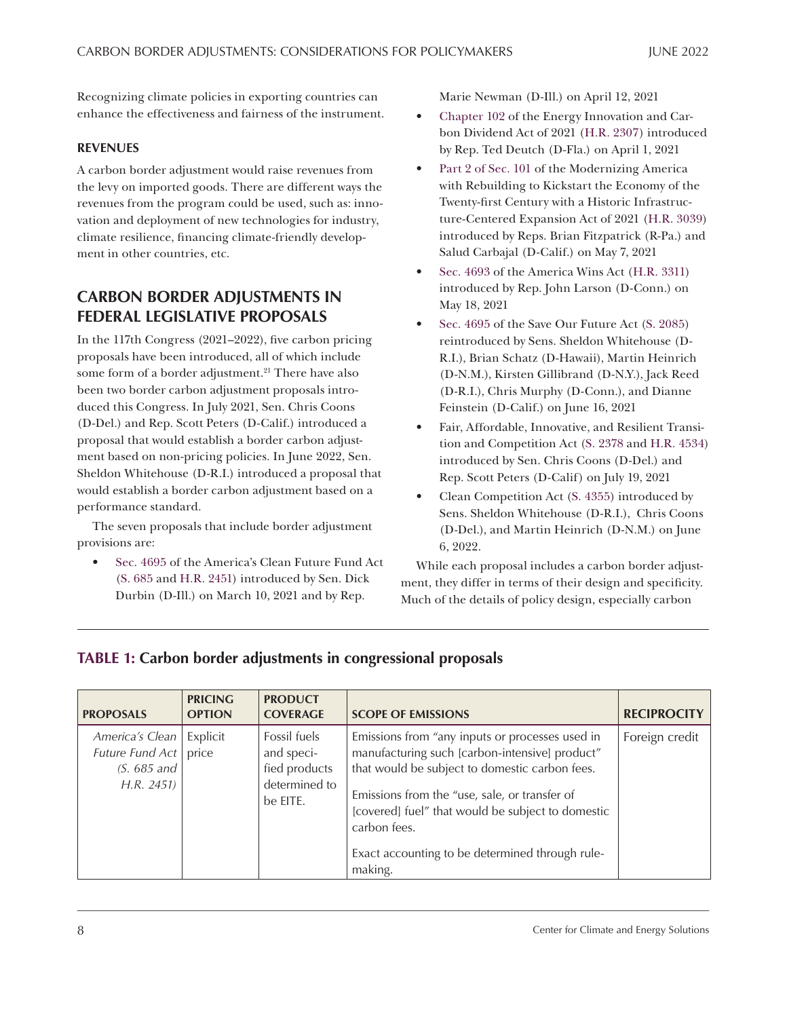<span id="page-7-0"></span>Recognizing climate policies in exporting countries can enhance the effectiveness and fairness of the instrument.

# **REVENUES**

A carbon border adjustment would raise revenues from the levy on imported goods. There are different ways the revenues from the program could be used, such as: innovation and deployment of new technologies for industry, climate resilience, financing climate-friendly development in other countries, etc.

# **CARBON BORDER ADJUSTMENTS IN FEDERAL LEGISLATIVE PROPOSALS**

In the 117th Congress (2021–2022), five carbon pricing proposals have been introduced, all of which include some form of a border adjustment.<sup>21</sup> There have also been two border carbon adjustment proposals introduced this Congress. In July 2021, Sen. Chris Coons (D-Del.) and Rep. Scott Peters (D-Calif.) introduced a proposal that would establish a border carbon adjustment based on non-pricing policies. In June 2022, Sen. Sheldon Whitehouse (D-R.I.) introduced a proposal that would establish a border carbon adjustment based on a performance standard.

The seven proposals that include border adjustment provisions are:

• Sec. 4695 of the America's Clean Future Fund Act [\(S. 685](https://www.congress.gov/bill/117th-congress/senate-bill/685/) and [H.R. 2451](https://www.congress.gov/bill/117th-congress/house-bill/2451)) introduced by Sen. Dick Durbin (D-Ill.) on March 10, 2021 and by Rep.

Marie Newman (D-Ill.) on April 12, 2021

- Chapter 102 of the Energy Innovation and Carbon Dividend Act of 2021 [\(H.R. 2307](https://www.congress.gov/bill/117th-congress/house-bill/2307)) introduced by Rep. Ted Deutch (D-Fla.) on April 1, 2021
- Part 2 of Sec. 101 of the Modernizing America with Rebuilding to Kickstart the Economy of the Twenty-first Century with a Historic Infrastructure-Centered Expansion Act of 2021 [\(H.R. 3039](https://www.congress.gov/bill/117th-congress/house-bill/3039)) introduced by Reps. Brian Fitzpatrick (R-Pa.) and Salud Carbajal (D-Calif.) on May 7, 2021
- Sec. 4693 of the America Wins Act ([H.R. 3311\)](https://www.congress.gov/bill/117th-congress/house-bill/3311) introduced by Rep. John Larson (D-Conn.) on May 18, 2021
- Sec. 4695 of the Save Our Future Act [\(S. 2085\)](https://www.congress.gov/bill/117th-congress/senate-bill/2085) reintroduced by Sens. Sheldon Whitehouse (D-R.I.), Brian Schatz (D-Hawaii), Martin Heinrich (D-N.M.), Kirsten Gillibrand (D-N.Y.), Jack Reed (D-R.I.), Chris Murphy (D-Conn.), and Dianne Feinstein (D-Calif.) on June 16, 2021
- Fair, Affordable, Innovative, and Resilient Transition and Competition Act ([S. 2378](https://www.congress.gov/bill/117th-congress/senate-bill/2378) and [H.R. 4534\)](https://www.congress.gov/bill/117th-congress/house-bill/4534) introduced by Sen. Chris Coons (D-Del.) and Rep. Scott Peters (D-Calif) on July 19, 2021
- Clean Competition Act [\(S. 4355\)](https://www.congress.gov/bill/117th-congress/senate-bill/4355) introduced by Sens. Sheldon Whitehouse (D-R.I.), Chris Coons (D-Del.), and Martin Heinrich (D-N.M.) on June 6, 2022.

While each proposal includes a carbon border adjustment, they differ in terms of their design and specificity. Much of the details of policy design, especially carbon

# **TABLE 1: Carbon border adjustments in congressional proposals**

| <b>PROPOSALS</b>                                                 | <b>PRICING</b><br><b>OPTION</b> | <b>PRODUCT</b><br><b>COVERAGE</b>                                        | <b>SCOPE OF EMISSIONS</b>                                                                                                                                                                                                                                                                                                               | <b>RECIPROCITY</b> |
|------------------------------------------------------------------|---------------------------------|--------------------------------------------------------------------------|-----------------------------------------------------------------------------------------------------------------------------------------------------------------------------------------------------------------------------------------------------------------------------------------------------------------------------------------|--------------------|
| America's Clean<br>Future Fund Act<br>$(S. 685$ and<br>H.R. 2451 | Explicit<br>price               | Fossil fuels<br>and speci-<br>fied products<br>determined to<br>be EITE. | Emissions from "any inputs or processes used in<br>manufacturing such [carbon-intensive] product"<br>that would be subject to domestic carbon fees.<br>Emissions from the "use, sale, or transfer of<br>[covered] fuel" that would be subject to domestic<br>carbon fees.<br>Exact accounting to be determined through rule-<br>making. | Foreign credit     |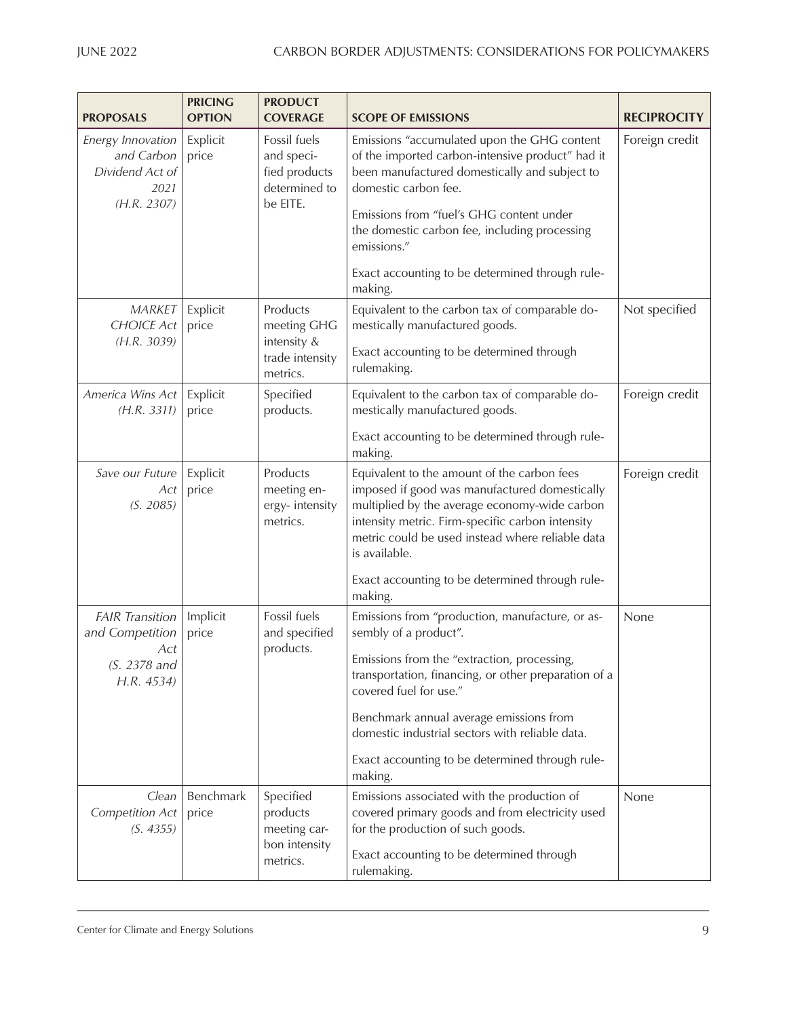| <b>PROPOSALS</b>                                                                 | <b>PRICING</b><br><b>OPTION</b> | <b>PRODUCT</b><br><b>COVERAGE</b>                                        | <b>SCOPE OF EMISSIONS</b>                                                                                                                                                                                                                                                                                                                                             | <b>RECIPROCITY</b> |
|----------------------------------------------------------------------------------|---------------------------------|--------------------------------------------------------------------------|-----------------------------------------------------------------------------------------------------------------------------------------------------------------------------------------------------------------------------------------------------------------------------------------------------------------------------------------------------------------------|--------------------|
| Energy Innovation<br>and Carbon<br>Dividend Act of<br>2021<br>(H.R. 2307)        | Explicit<br>price               | Fossil fuels<br>and speci-<br>fied products<br>determined to<br>be EITE. | Emissions "accumulated upon the GHG content<br>of the imported carbon-intensive product" had it<br>been manufactured domestically and subject to<br>domestic carbon fee.<br>Emissions from "fuel's GHG content under<br>the domestic carbon fee, including processing<br>emissions."<br>Exact accounting to be determined through rule-<br>making.                    | Foreign credit     |
| <b>MARKET</b><br><b>CHOICE Act</b><br>(H.R. 3039)                                | Explicit<br>price               | Products<br>meeting GHG<br>intensity &<br>trade intensity<br>metrics.    | Equivalent to the carbon tax of comparable do-<br>mestically manufactured goods.<br>Exact accounting to be determined through<br>rulemaking.                                                                                                                                                                                                                          | Not specified      |
| America Wins Act<br>(H.R. 3311)                                                  | Explicit<br>price               | Specified<br>products.                                                   | Equivalent to the carbon tax of comparable do-<br>mestically manufactured goods.<br>Exact accounting to be determined through rule-<br>making.                                                                                                                                                                                                                        | Foreign credit     |
| Save our Future<br>Act<br>(S. 2085)                                              | Explicit<br>price               | Products<br>meeting en-<br>ergy-intensity<br>metrics.                    | Equivalent to the amount of the carbon fees<br>imposed if good was manufactured domestically<br>multiplied by the average economy-wide carbon<br>intensity metric. Firm-specific carbon intensity<br>metric could be used instead where reliable data<br>is available.<br>Exact accounting to be determined through rule-<br>making.                                  | Foreign credit     |
| <b>FAIR Transition</b><br>and Competition<br>Act<br>$(S. 2378$ and<br>H.R. 4534) | Implicit<br>price               | Fossil fuels<br>and specified<br>products.                               | Emissions from "production, manufacture, or as-<br>sembly of a product".<br>Emissions from the "extraction, processing,<br>transportation, financing, or other preparation of a<br>covered fuel for use."<br>Benchmark annual average emissions from<br>domestic industrial sectors with reliable data.<br>Exact accounting to be determined through rule-<br>making. | None               |
| Clean<br><b>Competition Act</b><br>(S. 4355)                                     | Benchmark<br>price              | Specified<br>products<br>meeting car-<br>bon intensity<br>metrics.       | Emissions associated with the production of<br>covered primary goods and from electricity used<br>for the production of such goods.<br>Exact accounting to be determined through<br>rulemaking.                                                                                                                                                                       | None               |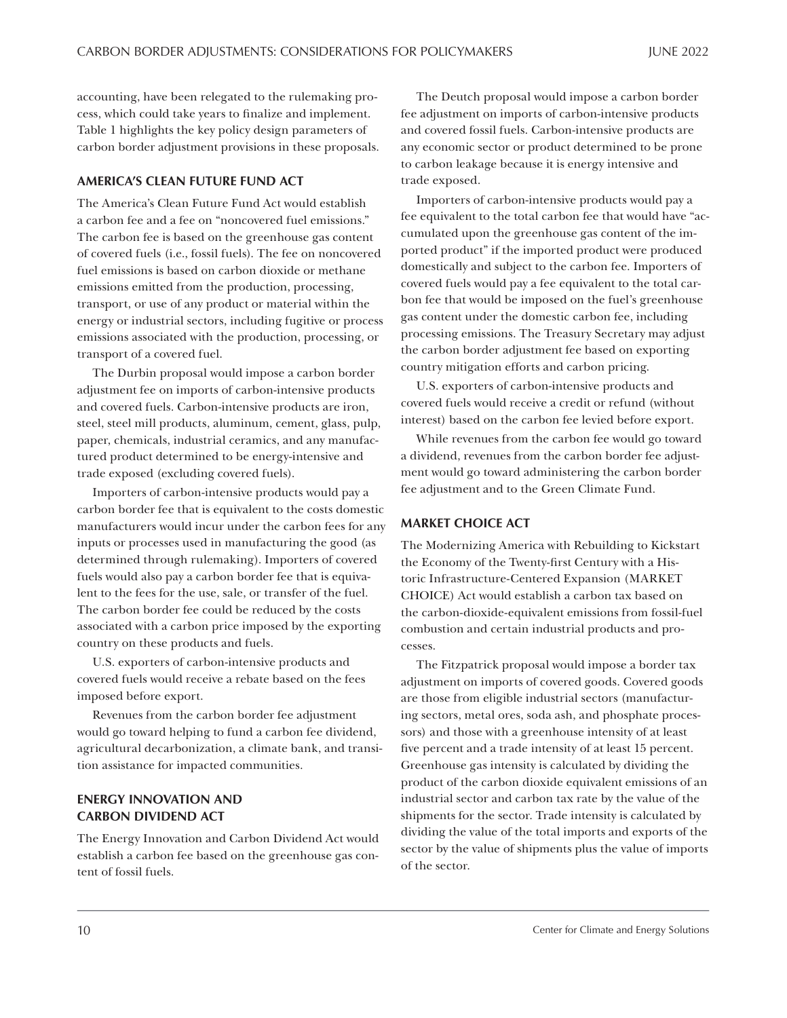accounting, have been relegated to the rulemaking process, which could take years to finalize and implement. Table 1 highlights the key policy design parameters of carbon border adjustment provisions in these proposals.

### **AMERICA'S CLEAN FUTURE FUND ACT**

The America's Clean Future Fund Act would establish a carbon fee and a fee on "noncovered fuel emissions." The carbon fee is based on the greenhouse gas content of covered fuels (i.e., fossil fuels). The fee on noncovered fuel emissions is based on carbon dioxide or methane emissions emitted from the production, processing, transport, or use of any product or material within the energy or industrial sectors, including fugitive or process emissions associated with the production, processing, or transport of a covered fuel.

The Durbin proposal would impose a carbon border adjustment fee on imports of carbon-intensive products and covered fuels. Carbon-intensive products are iron, steel, steel mill products, aluminum, cement, glass, pulp, paper, chemicals, industrial ceramics, and any manufactured product determined to be energy-intensive and trade exposed (excluding covered fuels).

Importers of carbon-intensive products would pay a carbon border fee that is equivalent to the costs domestic manufacturers would incur under the carbon fees for any inputs or processes used in manufacturing the good (as determined through rulemaking). Importers of covered fuels would also pay a carbon border fee that is equivalent to the fees for the use, sale, or transfer of the fuel. The carbon border fee could be reduced by the costs associated with a carbon price imposed by the exporting country on these products and fuels.

U.S. exporters of carbon-intensive products and covered fuels would receive a rebate based on the fees imposed before export.

Revenues from the carbon border fee adjustment would go toward helping to fund a carbon fee dividend, agricultural decarbonization, a climate bank, and transition assistance for impacted communities.

# **ENERGY INNOVATION AND CARBON DIVIDEND ACT**

The Energy Innovation and Carbon Dividend Act would establish a carbon fee based on the greenhouse gas content of fossil fuels.

The Deutch proposal would impose a carbon border fee adjustment on imports of carbon-intensive products and covered fossil fuels. Carbon-intensive products are any economic sector or product determined to be prone to carbon leakage because it is energy intensive and trade exposed.

Importers of carbon-intensive products would pay a fee equivalent to the total carbon fee that would have "accumulated upon the greenhouse gas content of the imported product" if the imported product were produced domestically and subject to the carbon fee. Importers of covered fuels would pay a fee equivalent to the total carbon fee that would be imposed on the fuel's greenhouse gas content under the domestic carbon fee, including processing emissions. The Treasury Secretary may adjust the carbon border adjustment fee based on exporting country mitigation efforts and carbon pricing.

U.S. exporters of carbon-intensive products and covered fuels would receive a credit or refund (without interest) based on the carbon fee levied before export.

While revenues from the carbon fee would go toward a dividend, revenues from the carbon border fee adjustment would go toward administering the carbon border fee adjustment and to the Green Climate Fund.

## **MARKET CHOICE ACT**

The Modernizing America with Rebuilding to Kickstart the Economy of the Twenty-first Century with a Historic Infrastructure-Centered Expansion (MARKET CHOICE) Act would establish a carbon tax based on the carbon-dioxide-equivalent emissions from fossil-fuel combustion and certain industrial products and processes.

The Fitzpatrick proposal would impose a border tax adjustment on imports of covered goods. Covered goods are those from eligible industrial sectors (manufacturing sectors, metal ores, soda ash, and phosphate processors) and those with a greenhouse intensity of at least five percent and a trade intensity of at least 15 percent. Greenhouse gas intensity is calculated by dividing the product of the carbon dioxide equivalent emissions of an industrial sector and carbon tax rate by the value of the shipments for the sector. Trade intensity is calculated by dividing the value of the total imports and exports of the sector by the value of shipments plus the value of imports of the sector.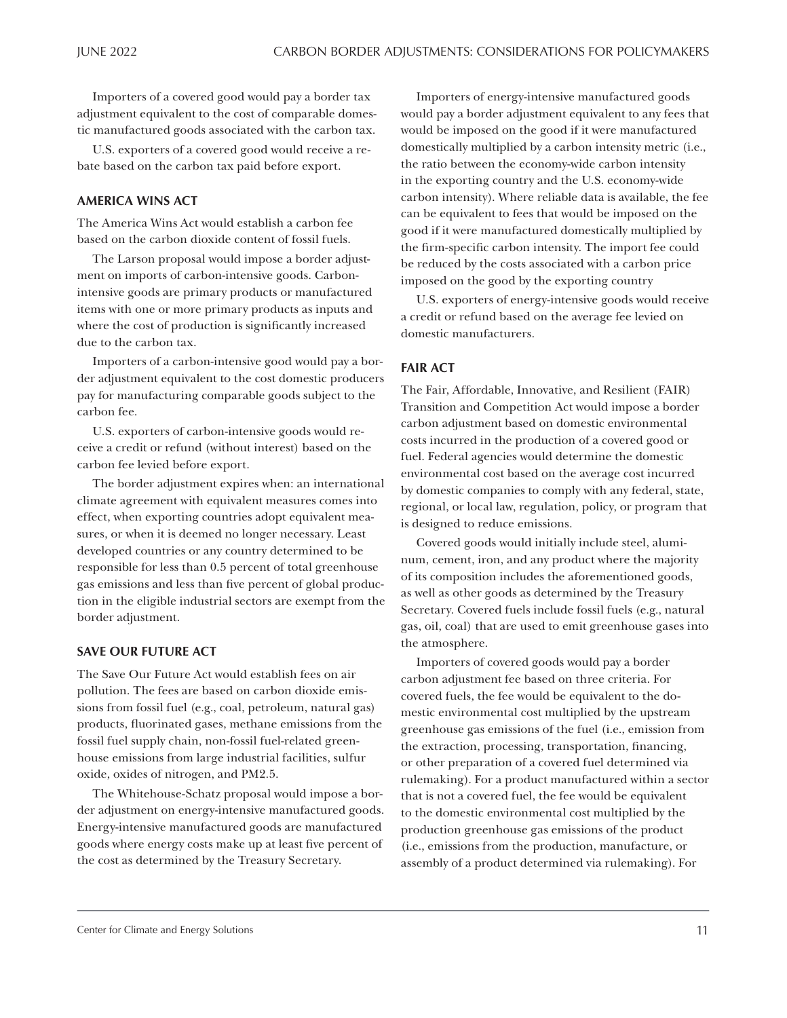Importers of a covered good would pay a border tax adjustment equivalent to the cost of comparable domestic manufactured goods associated with the carbon tax.

U.S. exporters of a covered good would receive a rebate based on the carbon tax paid before export.

#### **AMERICA WINS ACT**

The America Wins Act would establish a carbon fee based on the carbon dioxide content of fossil fuels.

The Larson proposal would impose a border adjustment on imports of carbon-intensive goods. Carbonintensive goods are primary products or manufactured items with one or more primary products as inputs and where the cost of production is significantly increased due to the carbon tax.

Importers of a carbon-intensive good would pay a border adjustment equivalent to the cost domestic producers pay for manufacturing comparable goods subject to the carbon fee.

U.S. exporters of carbon-intensive goods would receive a credit or refund (without interest) based on the carbon fee levied before export.

The border adjustment expires when: an international climate agreement with equivalent measures comes into effect, when exporting countries adopt equivalent measures, or when it is deemed no longer necessary. Least developed countries or any country determined to be responsible for less than 0.5 percent of total greenhouse gas emissions and less than five percent of global production in the eligible industrial sectors are exempt from the border adjustment.

### **SAVE OUR FUTURE ACT**

The Save Our Future Act would establish fees on air pollution. The fees are based on carbon dioxide emissions from fossil fuel (e.g., coal, petroleum, natural gas) products, fluorinated gases, methane emissions from the fossil fuel supply chain, non-fossil fuel-related greenhouse emissions from large industrial facilities, sulfur oxide, oxides of nitrogen, and PM2.5.

The Whitehouse-Schatz proposal would impose a border adjustment on energy-intensive manufactured goods. Energy-intensive manufactured goods are manufactured goods where energy costs make up at least five percent of the cost as determined by the Treasury Secretary.

Importers of energy-intensive manufactured goods would pay a border adjustment equivalent to any fees that would be imposed on the good if it were manufactured domestically multiplied by a carbon intensity metric (i.e., the ratio between the economy-wide carbon intensity in the exporting country and the U.S. economy-wide carbon intensity). Where reliable data is available, the fee can be equivalent to fees that would be imposed on the good if it were manufactured domestically multiplied by the firm-specific carbon intensity. The import fee could be reduced by the costs associated with a carbon price imposed on the good by the exporting country

U.S. exporters of energy-intensive goods would receive a credit or refund based on the average fee levied on domestic manufacturers.

# **FAIR ACT**

The Fair, Affordable, Innovative, and Resilient (FAIR) Transition and Competition Act would impose a border carbon adjustment based on domestic environmental costs incurred in the production of a covered good or fuel. Federal agencies would determine the domestic environmental cost based on the average cost incurred by domestic companies to comply with any federal, state, regional, or local law, regulation, policy, or program that is designed to reduce emissions.

Covered goods would initially include steel, aluminum, cement, iron, and any product where the majority of its composition includes the aforementioned goods, as well as other goods as determined by the Treasury Secretary. Covered fuels include fossil fuels (e.g., natural gas, oil, coal) that are used to emit greenhouse gases into the atmosphere.

Importers of covered goods would pay a border carbon adjustment fee based on three criteria. For covered fuels, the fee would be equivalent to the domestic environmental cost multiplied by the upstream greenhouse gas emissions of the fuel (i.e., emission from the extraction, processing, transportation, financing, or other preparation of a covered fuel determined via rulemaking). For a product manufactured within a sector that is not a covered fuel, the fee would be equivalent to the domestic environmental cost multiplied by the production greenhouse gas emissions of the product (i.e., emissions from the production, manufacture, or assembly of a product determined via rulemaking). For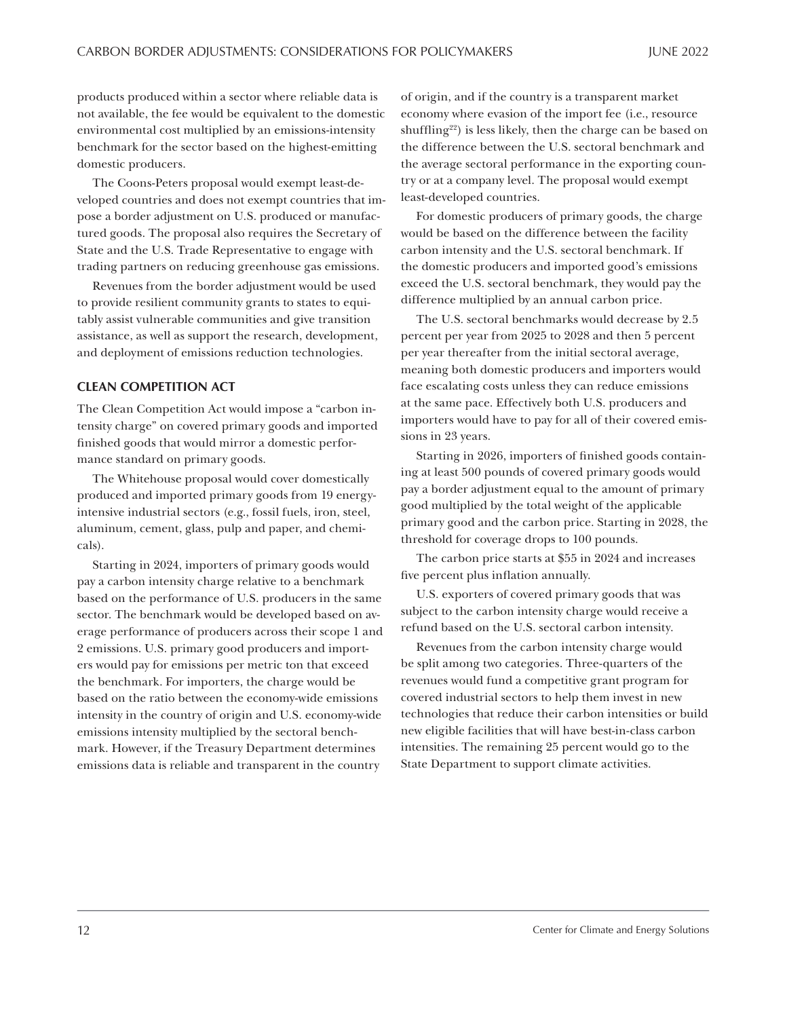<span id="page-11-0"></span>products produced within a sector where reliable data is not available, the fee would be equivalent to the domestic environmental cost multiplied by an emissions-intensity benchmark for the sector based on the highest-emitting domestic producers.

The Coons-Peters proposal would exempt least-developed countries and does not exempt countries that impose a border adjustment on U.S. produced or manufactured goods. The proposal also requires the Secretary of State and the U.S. Trade Representative to engage with trading partners on reducing greenhouse gas emissions.

Revenues from the border adjustment would be used to provide resilient community grants to states to equitably assist vulnerable communities and give transition assistance, as well as support the research, development, and deployment of emissions reduction technologies.

## **CLEAN COMPETITION ACT**

The Clean Competition Act would impose a "carbon intensity charge" on covered primary goods and imported finished goods that would mirror a domestic performance standard on primary goods.

The Whitehouse proposal would cover domestically produced and imported primary goods from 19 energyintensive industrial sectors (e.g., fossil fuels, iron, steel, aluminum, cement, glass, pulp and paper, and chemicals).

Starting in 2024, importers of primary goods would pay a carbon intensity charge relative to a benchmark based on the performance of U.S. producers in the same sector. The benchmark would be developed based on average performance of producers across their scope 1 and 2 emissions. U.S. primary good producers and importers would pay for emissions per metric ton that exceed the benchmark. For importers, the charge would be based on the ratio between the economy-wide emissions intensity in the country of origin and U.S. economy-wide emissions intensity multiplied by the sectoral benchmark. However, if the Treasury Department determines emissions data is reliable and transparent in the country

of origin, and if the country is a transparent market economy where evasion of the import fee (i.e., resource shuffling<sup>[22](#page-13-0)</sup>) is less likely, then the charge can be based on the difference between the U.S. sectoral benchmark and the average sectoral performance in the exporting country or at a company level. The proposal would exempt least-developed countries.

For domestic producers of primary goods, the charge would be based on the difference between the facility carbon intensity and the U.S. sectoral benchmark. If the domestic producers and imported good's emissions exceed the U.S. sectoral benchmark, they would pay the difference multiplied by an annual carbon price.

The U.S. sectoral benchmarks would decrease by 2.5 percent per year from 2025 to 2028 and then 5 percent per year thereafter from the initial sectoral average, meaning both domestic producers and importers would face escalating costs unless they can reduce emissions at the same pace. Effectively both U.S. producers and importers would have to pay for all of their covered emissions in 23 years.

Starting in 2026, importers of finished goods containing at least 500 pounds of covered primary goods would pay a border adjustment equal to the amount of primary good multiplied by the total weight of the applicable primary good and the carbon price. Starting in 2028, the threshold for coverage drops to 100 pounds.

The carbon price starts at \$55 in 2024 and increases five percent plus inflation annually.

U.S. exporters of covered primary goods that was subject to the carbon intensity charge would receive a refund based on the U.S. sectoral carbon intensity.

Revenues from the carbon intensity charge would be split among two categories. Three-quarters of the revenues would fund a competitive grant program for covered industrial sectors to help them invest in new technologies that reduce their carbon intensities or build new eligible facilities that will have best-in-class carbon intensities. The remaining 25 percent would go to the State Department to support climate activities.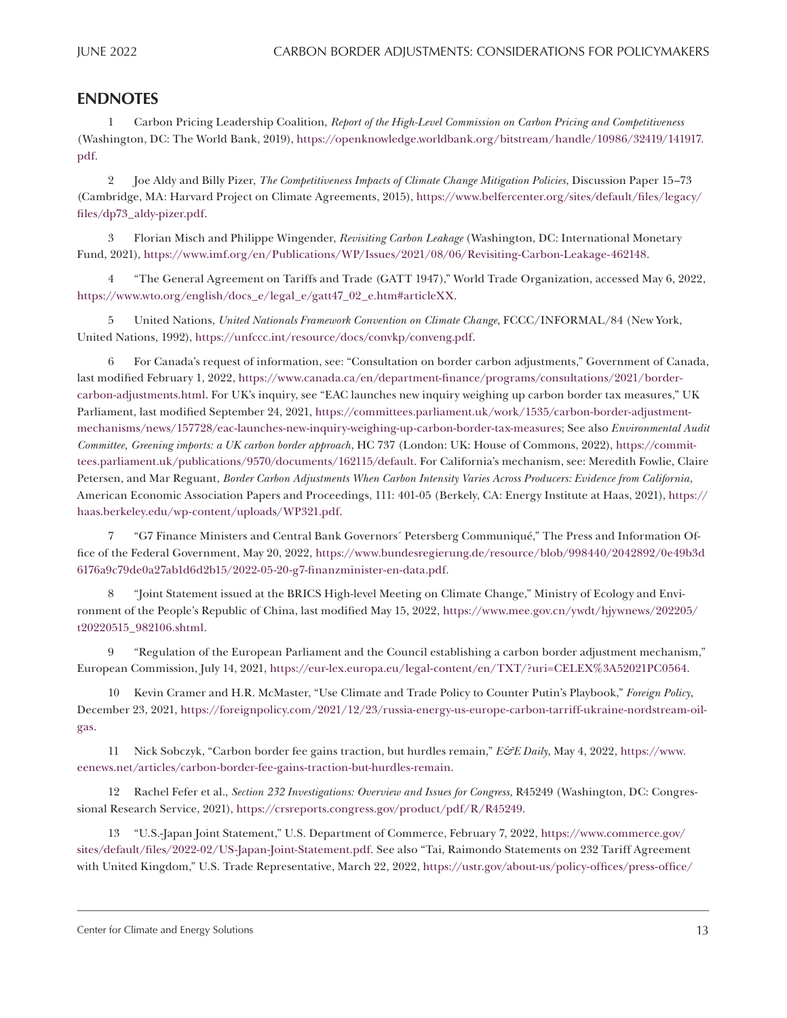# <span id="page-12-0"></span>**ENDNOTES**

[1](#page-0-0) Carbon Pricing Leadership Coalition, *Report of the High-Level Commission on Carbon Pricing and Competitiveness* (Washington, DC: The World Bank, 2019), [https://openknowledge.worldbank.org/bitstream/handle/10986/32419/141917.](https://openknowledge.worldbank.org/bitstream/handle/10986/32419/141917.pdf) [pdf.](https://openknowledge.worldbank.org/bitstream/handle/10986/32419/141917.pdf)

[2](#page-0-0) Joe Aldy and Billy Pizer, *The Competitiveness Impacts of Climate Change Mitigation Policies*, Discussion Paper 15–73 (Cambridge, MA: Harvard Project on Climate Agreements, 2015), [https://www.belfercenter.org/sites/default/files/legacy/](https://www.belfercenter.org/sites/default/files/legacy/files/dp73_aldy-pizer.pdf) [files/dp73\\_aldy-pizer.pdf.](https://www.belfercenter.org/sites/default/files/legacy/files/dp73_aldy-pizer.pdf)

[3](#page-0-0) Florian Misch and Philippe Wingender, *Revisiting Carbon Leakage* (Washington, DC: International Monetary Fund, 2021), <https://www.imf.org/en/Publications/WP/Issues/2021/08/06/Revisiting-Carbon-Leakage-462148>.

[4](#page-1-0) "The General Agreement on Tariffs and Trade (GATT 1947)," World Trade Organization, accessed May 6, 2022, https://www.wto.org/english/docs\_e/legal\_e/gatt47\_02\_e.htm#articleXX.

[5](#page-1-0) United Nations, *United Nationals Framework Convention on Climate Change*, FCCC/INFORMAL/84 (New York, United Nations, 1992), [https://unfccc.int/resource/docs/convkp/conveng.pdf.](https://unfccc.int/resource/docs/convkp/conveng.pdf)

[6](#page-1-0) For Canada's request of information, see: "Consultation on border carbon adjustments," Government of Canada, last modified February 1, 2022, [https://www.canada.ca/en/department-finance/programs/consultations/2021/border](https://www.canada.ca/en/department-finance/programs/consultations/2021/border-carbon-adjustments.html)[carbon-adjustments.html.](https://www.canada.ca/en/department-finance/programs/consultations/2021/border-carbon-adjustments.html) For UK's inquiry, see "EAC launches new inquiry weighing up carbon border tax measures," UK Parliament, last modified September 24, 2021, [https://committees.parliament.uk/work/1535/carbon-border-adjustment](https://committees.parliament.uk/work/1535/carbon-border-adjustment-mechanisms/news/157728/eac-launches-new-inquiry-weighing-up-carbon-border-tax-measures)[mechanisms/news/157728/eac-launches-new-inquiry-weighing-up-carbon-border-tax-measures;](https://committees.parliament.uk/work/1535/carbon-border-adjustment-mechanisms/news/157728/eac-launches-new-inquiry-weighing-up-carbon-border-tax-measures) See also *Environmental Audit Committee, Greening imports: a UK carbon border approach*, HC 737 (London: UK: House of Commons, 2022), [https://commit](https://committees.parliament.uk/publications/9570/documents/162115/default)[tees.parliament.uk/publications/9570/documents/162115/default](https://committees.parliament.uk/publications/9570/documents/162115/default). For California's mechanism, see: Meredith Fowlie, Claire Petersen, and Mar Reguant, *Border Carbon Adjustments When Carbon Intensity Varies Across Producers: Evidence from California*, American Economic Association Papers and Proceedings, 111: 401-05 (Berkely, CA: Energy Institute at Haas, 2021), [https://](https://haas.berkeley.edu/wp-content/uploads/WP321.pdf) [haas.berkeley.edu/wp-content/uploads/WP321.pdf](https://haas.berkeley.edu/wp-content/uploads/WP321.pdf).

[7](#page-1-0) "G7 Finance Ministers and Central Bank Governors´ Petersberg Communiqué," The Press and Information Office of the Federal Government, May 20, 2022, [https://www.bundesregierung.de/resource/blob/998440/2042892/0e49b3d](https://www.bundesregierung.de/resource/blob/998440/2042892/0e49b3d6176a9c79de0a27ab1d6d2b15/2022-05-20-g7-finanzminister-en-data.pdf) [6176a9c79de0a27ab1d6d2b15/2022-05-20-g7-finanzminister-en-data.pdf](https://www.bundesregierung.de/resource/blob/998440/2042892/0e49b3d6176a9c79de0a27ab1d6d2b15/2022-05-20-g7-finanzminister-en-data.pdf).

[8](#page-1-0) "Joint Statement issued at the BRICS High-level Meeting on Climate Change," Ministry of Ecology and Environment of the People's Republic of China, last modified May 15, 2022, [https://www.mee.gov.cn/ywdt/hjywnews/202205/](https://www.mee.gov.cn/ywdt/hjywnews/202205/t20220515_982106.shtml) [t20220515\\_982106.shtml.](https://www.mee.gov.cn/ywdt/hjywnews/202205/t20220515_982106.shtml)

[9](#page-1-0) "Regulation of the European Parliament and the Council establishing a carbon border adjustment mechanism," European Commission, July 14, 2021, [https://eur-lex.europa.eu/legal-content/en/TXT/?uri=CELEX%3A52021PC0564.](https://eur-lex.europa.eu/legal-content/en/TXT/?uri=CELEX%3A52021PC0564)

[10](#page-3-0) Kevin Cramer and H.R. McMaster, "Use Climate and Trade Policy to Counter Putin's Playbook," *Foreign Policy*, December 23, 2021, [https://foreignpolicy.com/2021/12/23/russia-energy-us-europe-carbon-tarriff-ukraine-nordstream-oil](https://foreignpolicy.com/2021/12/23/russia-energy-us-europe-carbon-tarriff-ukraine-nordstream-oil-gas)[gas.](https://foreignpolicy.com/2021/12/23/russia-energy-us-europe-carbon-tarriff-ukraine-nordstream-oil-gas)

[11](#page-3-0) Nick Sobczyk, "Carbon border fee gains traction, but hurdles remain," *E&E Daily*, May 4, 2022, [https://www.](https://www.eenews.net/articles/carbon-border-fee-gains-traction-but-hurdles-remain) [eenews.net/articles/carbon-border-fee-gains-traction-but-hurdles-remain.](https://www.eenews.net/articles/carbon-border-fee-gains-traction-but-hurdles-remain)

[12](#page-3-0) Rachel Fefer et al., *Section 232 Investigations: Overview and Issues for Congress*, R45249 (Washington, DC: Congressional Research Service, 2021), [https://crsreports.congress.gov/product/pdf/R/R45249.](https://crsreports.congress.gov/product/pdf/R/R45249)

[13](#page-3-0) "U.S.-Japan Joint Statement," U.S. Department of Commerce, February 7, 2022, [https://www.commerce.gov/](https://www.commerce.gov/sites/default/files/2022-02/US-Japan-Joint-Statement.pdf) [sites/default/files/2022-02/US-Japan-Joint-Statement.pdf](https://www.commerce.gov/sites/default/files/2022-02/US-Japan-Joint-Statement.pdf). See also "Tai, Raimondo Statements on 232 Tariff Agreement with United Kingdom," U.S. Trade Representative, March 22, 2022, [https://ustr.gov/about-us/policy-offices/press-office/](https://ustr.gov/about-us/policy-offices/press-office/press-releases/2022/march/tai-raimondo-statements-232-tariff-agreement-united-kingdom)